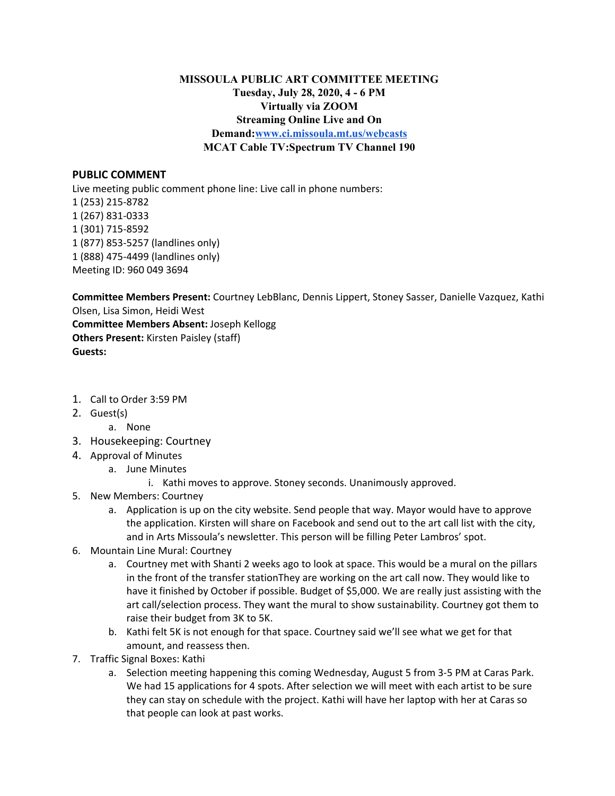## **MISSOULA PUBLIC ART COMMITTEE MEETING Tuesday, July 28, 2020, 4 - 6 PM Virtually via ZOOM Streaming Online Live and On Demand[:www.ci.missoula.mt.us/webcasts](http://www.ci.missoula.mt.us/webcasts) MCAT Cable TV:Spectrum TV Channel 190**

## **PUBLIC COMMENT**

Live meeting public comment phone line: Live call in phone numbers: (253) 215-8782 (267) 831-0333 (301) 715-8592 (877) 853-5257 (landlines only) (888) 475-4499 (landlines only) Meeting ID: 960 049 3694

**Committee Members Present:** Courtney LebBlanc, Dennis Lippert, Stoney Sasser, Danielle Vazquez, Kathi Olsen, Lisa Simon, Heidi West **Committee Members Absent:** Joseph Kellogg **Others Present:** Kirsten Paisley (staff)

**Guests:**

- 1. Call to Order 3:59 PM
- 2. Guest(s)
	- a. None
- 3. Housekeeping: Courtney
- 4. Approval of Minutes
	- a. June Minutes
		- i. Kathi moves to approve. Stoney seconds. Unanimously approved.
- 5. New Members: Courtney
	- a. Application is up on the city website. Send people that way. Mayor would have to approve the application. Kirsten will share on Facebook and send out to the art call list with the city, and in Arts Missoula's newsletter. This person will be filling Peter Lambros' spot.
- 6. Mountain Line Mural: Courtney
	- a. Courtney met with Shanti 2 weeks ago to look at space. This would be a mural on the pillars in the front of the transfer stationThey are working on the art call now. They would like to have it finished by October if possible. Budget of \$5,000. We are really just assisting with the art call/selection process. They want the mural to show sustainability. Courtney got them to raise their budget from 3K to 5K.
	- b. Kathi felt 5K is not enough for that space. Courtney said we'll see what we get for that amount, and reassess then.
- 7. Traffic Signal Boxes: Kathi
	- a. Selection meeting happening this coming Wednesday, August 5 from 3-5 PM at Caras Park. We had 15 applications for 4 spots. After selection we will meet with each artist to be sure they can stay on schedule with the project. Kathi will have her laptop with her at Caras so that people can look at past works.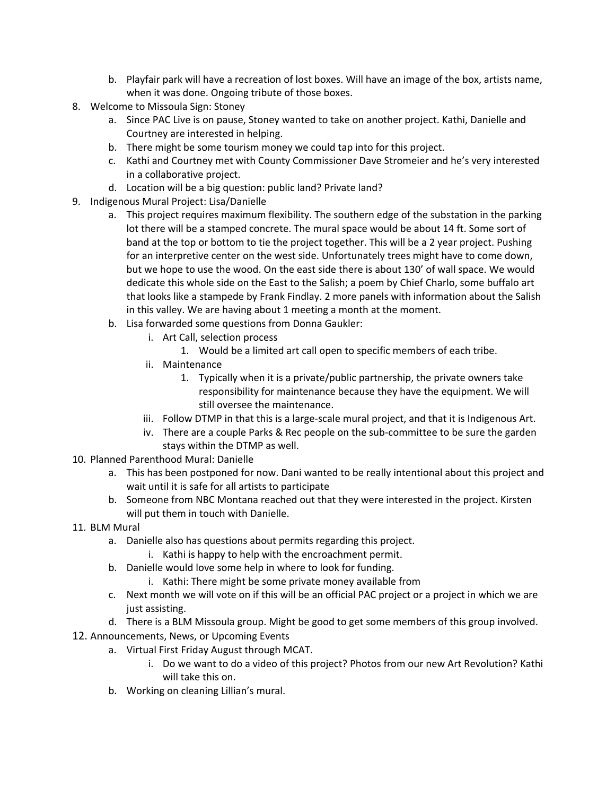- b. Playfair park will have a recreation of lost boxes. Will have an image of the box, artists name, when it was done. Ongoing tribute of those boxes.
- 8. Welcome to Missoula Sign: Stoney
	- a. Since PAC Live is on pause, Stoney wanted to take on another project. Kathi, Danielle and Courtney are interested in helping.
	- b. There might be some tourism money we could tap into for this project.
	- c. Kathi and Courtney met with County Commissioner Dave Stromeier and he's very interested in a collaborative project.
	- d. Location will be a big question: public land? Private land?
- 9. Indigenous Mural Project: Lisa/Danielle
	- a. This project requires maximum flexibility. The southern edge of the substation in the parking lot there will be a stamped concrete. The mural space would be about 14 ft. Some sort of band at the top or bottom to tie the project together. This will be a 2 year project. Pushing for an interpretive center on the west side. Unfortunately trees might have to come down, but we hope to use the wood. On the east side there is about 130' of wall space. We would dedicate this whole side on the East to the Salish; a poem by Chief Charlo, some buffalo art that looks like a stampede by Frank Findlay. 2 more panels with information about the Salish in this valley. We are having about 1 meeting a month at the moment.
	- b. Lisa forwarded some questions from Donna Gaukler:
		- i. Art Call, selection process
			- 1. Would be a limited art call open to specific members of each tribe.
		- ii. Maintenance
			- 1. Typically when it is a private/public partnership, the private owners take responsibility for maintenance because they have the equipment. We will still oversee the maintenance.
		- iii. Follow DTMP in that this is a large-scale mural project, and that it is Indigenous Art.
		- iv. There are a couple Parks & Rec people on the sub-committee to be sure the garden stays within the DTMP as well.
- 10. Planned Parenthood Mural: Danielle
	- a. This has been postponed for now. Dani wanted to be really intentional about this project and wait until it is safe for all artists to participate
	- b. Someone from NBC Montana reached out that they were interested in the project. Kirsten will put them in touch with Danielle.
- 11. BLM Mural
	- a. Danielle also has questions about permits regarding this project.
		- i. Kathi is happy to help with the encroachment permit.
	- b. Danielle would love some help in where to look for funding.
		- i. Kathi: There might be some private money available from
	- c. Next month we will vote on if this will be an official PAC project or a project in which we are just assisting.
	- d. There is a BLM Missoula group. Might be good to get some members of this group involved.
- 12. Announcements, News, or Upcoming Events
	- a. Virtual First Friday August through MCAT.
		- i. Do we want to do a video of this project? Photos from our new Art Revolution? Kathi will take this on.
	- b. Working on cleaning Lillian's mural.